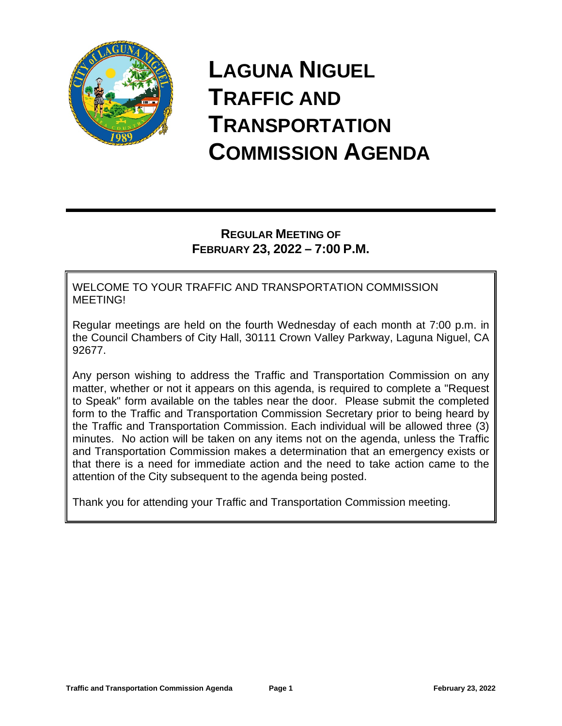

# **LAGUNA NIGUEL TRAFFIC AND TRANSPORTATION COMMISSION AGENDA**

# **REGULAR MEETING OF FEBRUARY 23, 2022 – 7:00 P.M.**

WELCOME TO YOUR TRAFFIC AND TRANSPORTATION COMMISSION MEETING!

Regular meetings are held on the fourth Wednesday of each month at 7:00 p.m. in the Council Chambers of City Hall, 30111 Crown Valley Parkway, Laguna Niguel, CA 92677.

Any person wishing to address the Traffic and Transportation Commission on any matter, whether or not it appears on this agenda, is required to complete a "Request to Speak" form available on the tables near the door. Please submit the completed form to the Traffic and Transportation Commission Secretary prior to being heard by the Traffic and Transportation Commission. Each individual will be allowed three (3) minutes. No action will be taken on any items not on the agenda, unless the Traffic and Transportation Commission makes a determination that an emergency exists or that there is a need for immediate action and the need to take action came to the attention of the City subsequent to the agenda being posted.

Thank you for attending your Traffic and Transportation Commission meeting.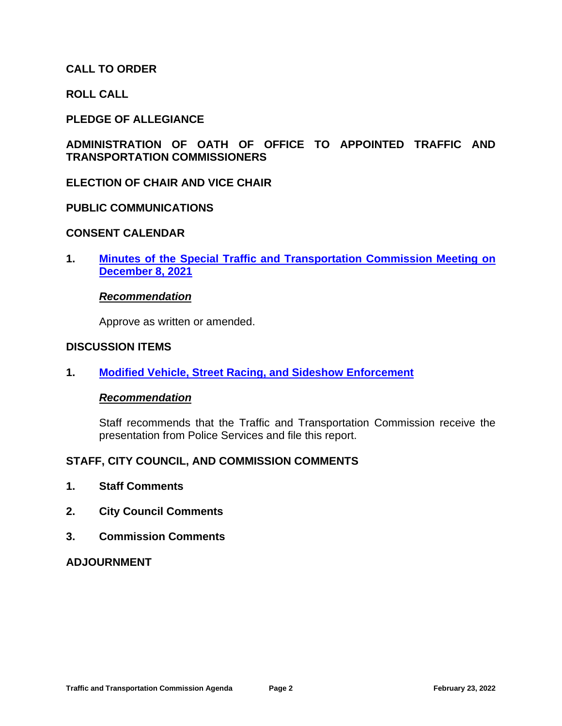## **CALL TO ORDER**

**ROLL CALL**

## **PLEDGE OF ALLEGIANCE**

## **ADMINISTRATION OF OATH OF OFFICE TO APPOINTED TRAFFIC AND TRANSPORTATION COMMISSIONERS**

#### **ELECTION OF CHAIR AND VICE CHAIR**

## **PUBLIC COMMUNICATIONS**

#### **CONSENT CALENDAR**

**1. Minutes of the Special Traffic and Transportation Commission Meeting on December 8, 2021**

#### *Recommendation*

Approve as written or amended.

#### **DISCUSSION ITEMS**

**1. Modified Vehicle, Street Racing, and Sideshow Enforcement**

#### *Recommendation*

Staff recommends that the Traffic and Transportation Commission receive the presentation from Police Services and file this report.

#### **STAFF, CITY COUNCIL, AND COMMISSION COMMENTS**

- **1. Staff Comments**
- **2. City Council Comments**
- **3. Commission Comments**

#### **ADJOURNMENT**